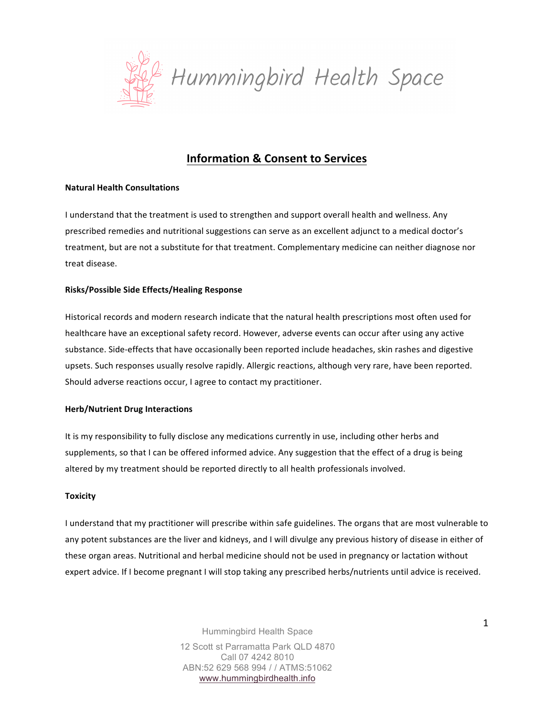

# **Information & Consent to Services**

# **Natural Health Consultations**

I understand that the treatment is used to strengthen and support overall health and wellness. Any prescribed remedies and nutritional suggestions can serve as an excellent adjunct to a medical doctor's treatment, but are not a substitute for that treatment. Complementary medicine can neither diagnose nor treat disease. 

# **Risks/Possible Side Effects/Healing Response**

Historical records and modern research indicate that the natural health prescriptions most often used for healthcare have an exceptional safety record. However, adverse events can occur after using any active substance. Side-effects that have occasionally been reported include headaches, skin rashes and digestive upsets. Such responses usually resolve rapidly. Allergic reactions, although very rare, have been reported. Should adverse reactions occur, I agree to contact my practitioner.

## **Herb/Nutrient Drug Interactions**

It is my responsibility to fully disclose any medications currently in use, including other herbs and supplements, so that I can be offered informed advice. Any suggestion that the effect of a drug is being altered by my treatment should be reported directly to all health professionals involved.

## **Toxicity**

I understand that my practitioner will prescribe within safe guidelines. The organs that are most vulnerable to any potent substances are the liver and kidneys, and I will divulge any previous history of disease in either of these organ areas. Nutritional and herbal medicine should not be used in pregnancy or lactation without expert advice. If I become pregnant I will stop taking any prescribed herbs/nutrients until advice is received.

> Hummingbird Health Space 12 Scott st Parramatta Park QLD 4870 Call 07 4242 8010 ABN:52 629 568 994 / / ATMS:51062 www.hummingbirdhealth.info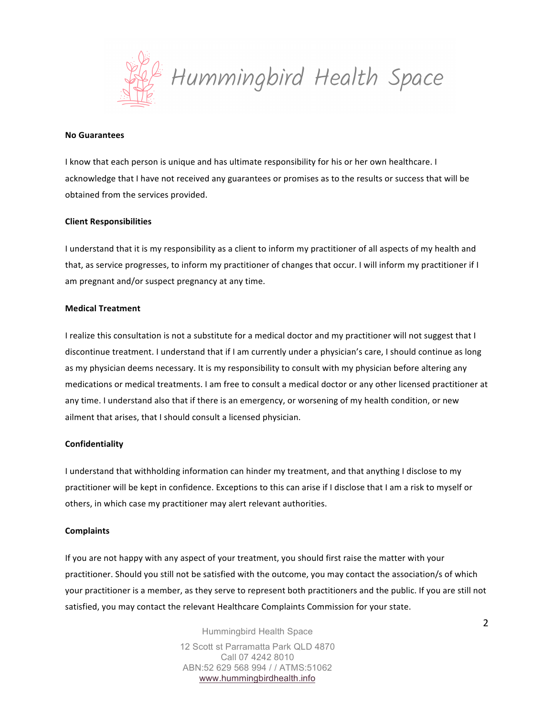

#### **No Guarantees**

I know that each person is unique and has ultimate responsibility for his or her own healthcare. I acknowledge that I have not received any guarantees or promises as to the results or success that will be obtained from the services provided.

## **Client Responsibilities**

I understand that it is my responsibility as a client to inform my practitioner of all aspects of my health and that, as service progresses, to inform my practitioner of changes that occur. I will inform my practitioner if I am pregnant and/or suspect pregnancy at any time.

#### **Medical Treatment**

I realize this consultation is not a substitute for a medical doctor and my practitioner will not suggest that I discontinue treatment. I understand that if I am currently under a physician's care, I should continue as long as my physician deems necessary. It is my responsibility to consult with my physician before altering any medications or medical treatments. I am free to consult a medical doctor or any other licensed practitioner at any time. I understand also that if there is an emergency, or worsening of my health condition, or new ailment that arises, that I should consult a licensed physician.

## **Confidentiality**

I understand that withholding information can hinder my treatment, and that anything I disclose to my practitioner will be kept in confidence. Exceptions to this can arise if I disclose that I am a risk to myself or others, in which case my practitioner may alert relevant authorities.

## **Complaints**

If you are not happy with any aspect of your treatment, you should first raise the matter with your practitioner. Should you still not be satisfied with the outcome, you may contact the association/s of which your practitioner is a member, as they serve to represent both practitioners and the public. If you are still not satisfied, you may contact the relevant Healthcare Complaints Commission for your state.

> Hummingbird Health Space 12 Scott st Parramatta Park QLD 4870 Call 07 4242 8010 ABN:52 629 568 994 / / ATMS:51062 www.hummingbirdhealth.info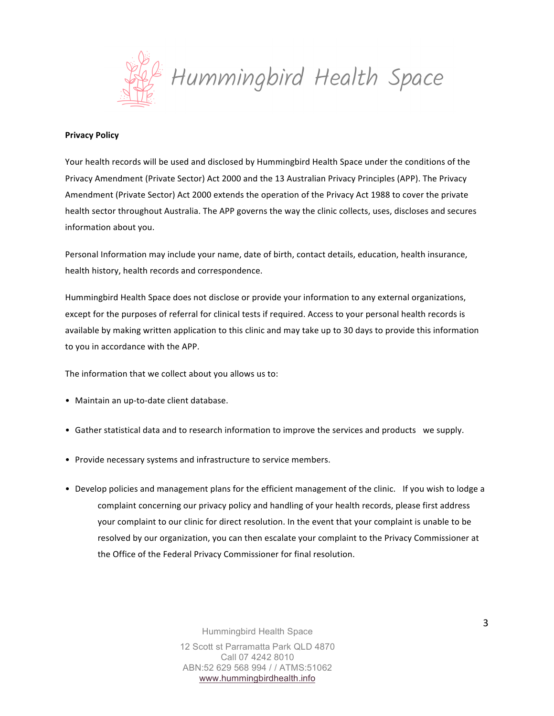

#### **Privacy Policy**

Your health records will be used and disclosed by Hummingbird Health Space under the conditions of the Privacy Amendment (Private Sector) Act 2000 and the 13 Australian Privacy Principles (APP). The Privacy Amendment (Private Sector) Act 2000 extends the operation of the Privacy Act 1988 to cover the private health sector throughout Australia. The APP governs the way the clinic collects, uses, discloses and secures information about you.

Personal Information may include your name, date of birth, contact details, education, health insurance, health history, health records and correspondence.

Hummingbird Health Space does not disclose or provide your information to any external organizations, except for the purposes of referral for clinical tests if required. Access to your personal health records is available by making written application to this clinic and may take up to 30 days to provide this information to you in accordance with the APP.

The information that we collect about you allows us to:

- Maintain an up-to-date client database.
- Gather statistical data and to research information to improve the services and products we supply.
- Provide necessary systems and infrastructure to service members.
- Develop policies and management plans for the efficient management of the clinic. If you wish to lodge a complaint concerning our privacy policy and handling of your health records, please first address your complaint to our clinic for direct resolution. In the event that your complaint is unable to be resolved by our organization, you can then escalate your complaint to the Privacy Commissioner at the Office of the Federal Privacy Commissioner for final resolution.

Hummingbird Health Space 12 Scott st Parramatta Park QLD 4870 Call 07 4242 8010 ABN:52 629 568 994 / / ATMS:51062 www.hummingbirdhealth.info